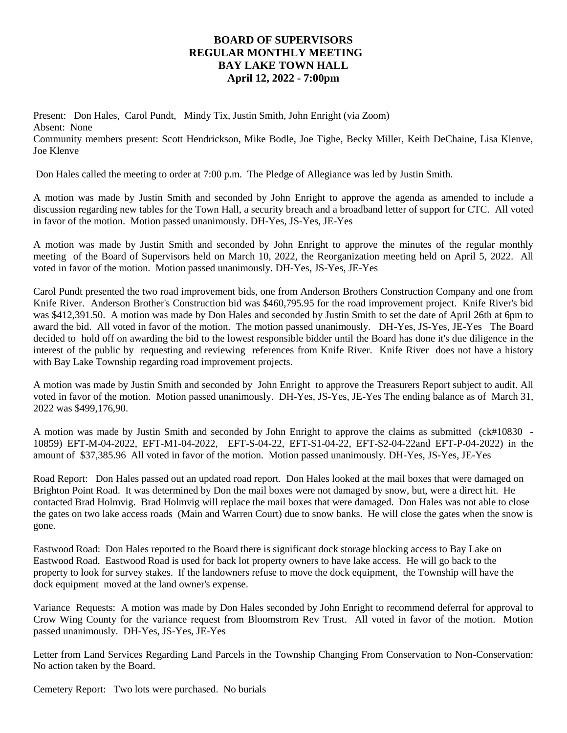## **BOARD OF SUPERVISORS REGULAR MONTHLY MEETING BAY LAKE TOWN HALL April 12, 2022 - 7:00pm**

Present: Don Hales, Carol Pundt, Mindy Tix, Justin Smith, John Enright (via Zoom) Absent: None Community members present: Scott Hendrickson, Mike Bodle, Joe Tighe, Becky Miller, Keith DeChaine, Lisa Klenve, Joe Klenve

Don Hales called the meeting to order at 7:00 p.m. The Pledge of Allegiance was led by Justin Smith.

A motion was made by Justin Smith and seconded by John Enright to approve the agenda as amended to include a discussion regarding new tables for the Town Hall, a security breach and a broadband letter of support for CTC. All voted in favor of the motion. Motion passed unanimously. DH-Yes, JS-Yes, JE-Yes

A motion was made by Justin Smith and seconded by John Enright to approve the minutes of the regular monthly meeting of the Board of Supervisors held on March 10, 2022, the Reorganization meeting held on April 5, 2022. All voted in favor of the motion. Motion passed unanimously. DH-Yes, JS-Yes, JE-Yes

Carol Pundt presented the two road improvement bids, one from Anderson Brothers Construction Company and one from Knife River. Anderson Brother's Construction bid was \$460,795.95 for the road improvement project. Knife River's bid was \$412,391.50. A motion was made by Don Hales and seconded by Justin Smith to set the date of April 26th at 6pm to award the bid. All voted in favor of the motion. The motion passed unanimously. DH-Yes, JS-Yes, JE-Yes The Board decided to hold off on awarding the bid to the lowest responsible bidder until the Board has done it's due diligence in the interest of the public by requesting and reviewing references from Knife River. Knife River does not have a history with Bay Lake Township regarding road improvement projects.

A motion was made by Justin Smith and seconded by John Enright to approve the Treasurers Report subject to audit. All voted in favor of the motion. Motion passed unanimously. DH-Yes, JS-Yes, JE-Yes The ending balance as of March 31, 2022 was \$499,176,90.

A motion was made by Justin Smith and seconded by John Enright to approve the claims as submitted (ck#10830 -10859) EFT-M-04-2022, EFT-M1-04-2022, EFT-S-04-22, EFT-S1-04-22, EFT-S2-04-22and EFT-P-04-2022) in the amount of \$37,385.96 All voted in favor of the motion. Motion passed unanimously. DH-Yes, JS-Yes, JE-Yes

Road Report: Don Hales passed out an updated road report. Don Hales looked at the mail boxes that were damaged on Brighton Point Road. It was determined by Don the mail boxes were not damaged by snow, but, were a direct hit. He contacted Brad Holmvig. Brad Holmvig will replace the mail boxes that were damaged. Don Hales was not able to close the gates on two lake access roads (Main and Warren Court) due to snow banks. He will close the gates when the snow is gone.

Eastwood Road: Don Hales reported to the Board there is significant dock storage blocking access to Bay Lake on Eastwood Road. Eastwood Road is used for back lot property owners to have lake access. He will go back to the property to look for survey stakes. If the landowners refuse to move the dock equipment, the Township will have the dock equipment moved at the land owner's expense.

Variance Requests: A motion was made by Don Hales seconded by John Enright to recommend deferral for approval to Crow Wing County for the variance request from Bloomstrom Rev Trust. All voted in favor of the motion. Motion passed unanimously. DH-Yes, JS-Yes, JE-Yes

Letter from Land Services Regarding Land Parcels in the Township Changing From Conservation to Non-Conservation: No action taken by the Board.

Cemetery Report: Two lots were purchased. No burials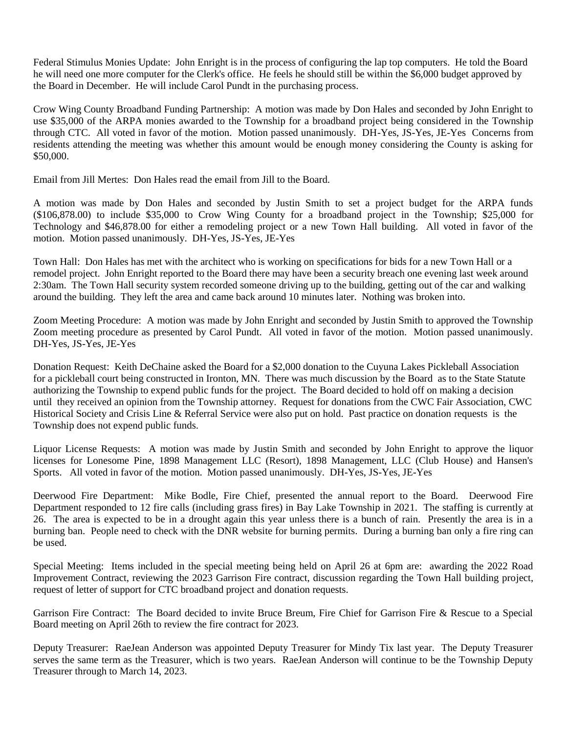Federal Stimulus Monies Update: John Enright is in the process of configuring the lap top computers. He told the Board he will need one more computer for the Clerk's office. He feels he should still be within the \$6,000 budget approved by the Board in December. He will include Carol Pundt in the purchasing process.

Crow Wing County Broadband Funding Partnership: A motion was made by Don Hales and seconded by John Enright to use \$35,000 of the ARPA monies awarded to the Township for a broadband project being considered in the Township through CTC. All voted in favor of the motion. Motion passed unanimously. DH-Yes, JS-Yes, JE-Yes Concerns from residents attending the meeting was whether this amount would be enough money considering the County is asking for \$50,000.

Email from Jill Mertes: Don Hales read the email from Jill to the Board.

A motion was made by Don Hales and seconded by Justin Smith to set a project budget for the ARPA funds (\$106,878.00) to include \$35,000 to Crow Wing County for a broadband project in the Township; \$25,000 for Technology and \$46,878.00 for either a remodeling project or a new Town Hall building. All voted in favor of the motion. Motion passed unanimously. DH-Yes, JS-Yes, JE-Yes

Town Hall: Don Hales has met with the architect who is working on specifications for bids for a new Town Hall or a remodel project. John Enright reported to the Board there may have been a security breach one evening last week around 2:30am. The Town Hall security system recorded someone driving up to the building, getting out of the car and walking around the building. They left the area and came back around 10 minutes later. Nothing was broken into.

Zoom Meeting Procedure: A motion was made by John Enright and seconded by Justin Smith to approved the Township Zoom meeting procedure as presented by Carol Pundt. All voted in favor of the motion. Motion passed unanimously. DH-Yes, JS-Yes, JE-Yes

Donation Request: Keith DeChaine asked the Board for a \$2,000 donation to the Cuyuna Lakes Pickleball Association for a pickleball court being constructed in Ironton, MN. There was much discussion by the Board as to the State Statute authorizing the Township to expend public funds for the project. The Board decided to hold off on making a decision until they received an opinion from the Township attorney. Request for donations from the CWC Fair Association, CWC Historical Society and Crisis Line & Referral Service were also put on hold. Past practice on donation requests is the Township does not expend public funds.

Liquor License Requests: A motion was made by Justin Smith and seconded by John Enright to approve the liquor licenses for Lonesome Pine, 1898 Management LLC (Resort), 1898 Management, LLC (Club House) and Hansen's Sports. All voted in favor of the motion. Motion passed unanimously. DH-Yes, JS-Yes, JE-Yes

Deerwood Fire Department: Mike Bodle, Fire Chief, presented the annual report to the Board. Deerwood Fire Department responded to 12 fire calls (including grass fires) in Bay Lake Township in 2021. The staffing is currently at 26. The area is expected to be in a drought again this year unless there is a bunch of rain. Presently the area is in a burning ban. People need to check with the DNR website for burning permits. During a burning ban only a fire ring can be used.

Special Meeting: Items included in the special meeting being held on April 26 at 6pm are: awarding the 2022 Road Improvement Contract, reviewing the 2023 Garrison Fire contract, discussion regarding the Town Hall building project, request of letter of support for CTC broadband project and donation requests.

Garrison Fire Contract: The Board decided to invite Bruce Breum, Fire Chief for Garrison Fire & Rescue to a Special Board meeting on April 26th to review the fire contract for 2023.

Deputy Treasurer: RaeJean Anderson was appointed Deputy Treasurer for Mindy Tix last year. The Deputy Treasurer serves the same term as the Treasurer, which is two years. RaeJean Anderson will continue to be the Township Deputy Treasurer through to March 14, 2023.